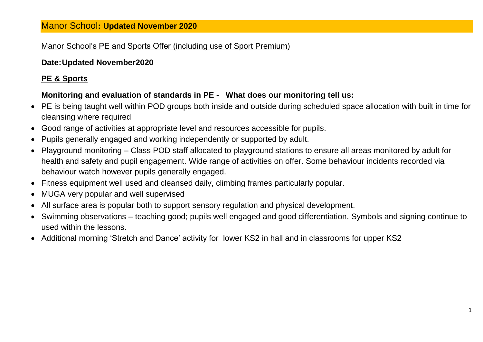## Manor School's PE and Sports Offer (including use of Sport Premium)

## **Date:Updated November2020**

## **PE & Sports**

## **Monitoring and evaluation of standards in PE - What does our monitoring tell us:**

- PE is being taught well within POD groups both inside and outside during scheduled space allocation with built in time for cleansing where required
- Good range of activities at appropriate level and resources accessible for pupils.
- Pupils generally engaged and working independently or supported by adult.
- Playground monitoring Class POD staff allocated to playground stations to ensure all areas monitored by adult for health and safety and pupil engagement. Wide range of activities on offer. Some behaviour incidents recorded via behaviour watch however pupils generally engaged.
- Fitness equipment well used and cleansed daily, climbing frames particularly popular.
- MUGA very popular and well supervised
- All surface area is popular both to support sensory regulation and physical development.
- Swimming observations teaching good; pupils well engaged and good differentiation. Symbols and signing continue to used within the lessons.
- Additional morning 'Stretch and Dance' activity for lower KS2 in hall and in classrooms for upper KS2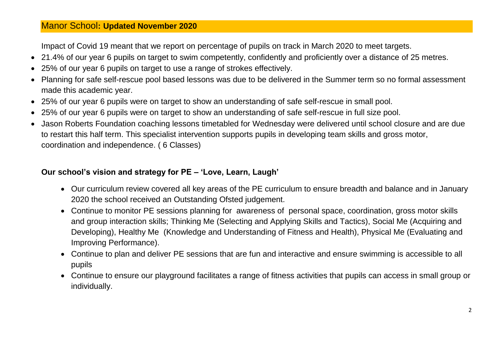Impact of Covid 19 meant that we report on percentage of pupils on track in March 2020 to meet targets.

- 21.4% of our year 6 pupils on target to swim competently, confidently and proficiently over a distance of 25 metres.
- 25% of our year 6 pupils on target to use a range of strokes effectively.
- Planning for safe self-rescue pool based lessons was due to be delivered in the Summer term so no formal assessment made this academic year.
- 25% of our year 6 pupils were on target to show an understanding of safe self-rescue in small pool.
- 25% of our year 6 pupils were on target to show an understanding of safe self-rescue in full size pool.
- Jason Roberts Foundation coaching lessons timetabled for Wednesday were delivered until school closure and are due to restart this half term. This specialist intervention supports pupils in developing team skills and gross motor, coordination and independence. ( 6 Classes)

## **Our school's vision and strategy for PE – 'Love, Learn, Laugh'**

- Our curriculum review covered all key areas of the PE curriculum to ensure breadth and balance and in January 2020 the school received an Outstanding Ofsted judgement.
- Continue to monitor PE sessions planning for awareness of personal space, coordination, gross motor skills and group interaction skills; Thinking Me (Selecting and Applying Skills and Tactics), Social Me (Acquiring and Developing), Healthy Me (Knowledge and Understanding of Fitness and Health), Physical Me (Evaluating and Improving Performance).
- Continue to plan and deliver PE sessions that are fun and interactive and ensure swimming is accessible to all pupils
- Continue to ensure our playground facilitates a range of fitness activities that pupils can access in small group or individually.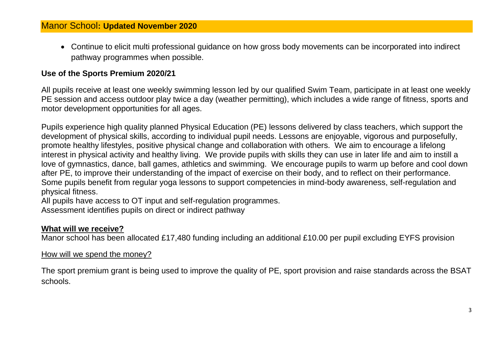Continue to elicit multi professional guidance on how gross body movements can be incorporated into indirect pathway programmes when possible.

## **Use of the Sports Premium 2020/21**

All pupils receive at least one weekly swimming lesson led by our qualified Swim Team, participate in at least one weekly PE session and access outdoor play twice a day (weather permitting), which includes a wide range of fitness, sports and motor development opportunities for all ages.

Pupils experience high quality planned Physical Education (PE) lessons delivered by class teachers, which support the development of physical skills, according to individual pupil needs. Lessons are enjoyable, vigorous and purposefully, promote healthy lifestyles, positive physical change and collaboration with others. We aim to encourage a lifelong interest in physical activity and healthy living. We provide pupils with skills they can use in later life and aim to instill a love of gymnastics, dance, ball games, athletics and swimming. We encourage pupils to warm up before and cool down after PE, to improve their understanding of the impact of exercise on their body, and to reflect on their performance. Some pupils benefit from regular yoga lessons to support competencies in mind-body awareness, self-regulation and physical fitness.

All pupils have access to OT input and self-regulation programmes.

Assessment identifies pupils on direct or indirect pathway

#### **What will we receive?**

Manor school has been allocated £17,480 funding including an additional £10.00 per pupil excluding EYFS provision

How will we spend the money?

The sport premium grant is being used to improve the quality of PE, sport provision and raise standards across the BSAT schools.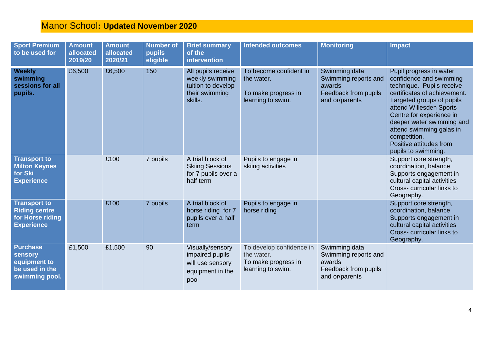| <b>Sport Premium</b><br>to be used for                                               | <b>Amount</b><br>allocated<br>2019/20 | <b>Amount</b><br>allocated<br>2020/21 | <b>Number of</b><br>pupils<br>eligible | <b>Brief summary</b><br>of the<br><i><b>intervention</b></i>                             | <b>Intended outcomes</b>                                                           | <b>Monitoring</b>                                                                         | <b>Impact</b>                                                                                                                                                                                                                                                                                                                  |
|--------------------------------------------------------------------------------------|---------------------------------------|---------------------------------------|----------------------------------------|------------------------------------------------------------------------------------------|------------------------------------------------------------------------------------|-------------------------------------------------------------------------------------------|--------------------------------------------------------------------------------------------------------------------------------------------------------------------------------------------------------------------------------------------------------------------------------------------------------------------------------|
| <b>Weekly</b><br>swimming<br>sessions for all<br>pupils.                             | £6,500                                | £6,500                                | 150                                    | All pupils receive<br>weekly swimming<br>tuition to develop<br>their swimming<br>skills. | To become confident in<br>the water.<br>To make progress in<br>learning to swim.   | Swimming data<br>Swimming reports and<br>awards<br>Feedback from pupils<br>and or/parents | Pupil progress in water<br>confidence and swimming<br>technique. Pupils receive<br>certificates of achievement.<br>Targeted groups of pupils<br>attend Willesden Sports<br>Centre for experience in<br>deeper water swimming and<br>attend swimming galas in<br>competition.<br>Positive attitudes from<br>pupils to swimming. |
| <b>Transport to</b><br><b>Milton Keynes</b><br>for Ski<br><b>Experience</b>          |                                       | £100                                  | 7 pupils                               | A trial block of<br><b>Skiing Sessions</b><br>for 7 pupils over a<br>half term           | Pupils to engage in<br>skiing activities                                           |                                                                                           | Support core strength,<br>coordination, balance<br>Supports engagement in<br>cultural capital activities<br>Cross-curricular links to<br>Geography.                                                                                                                                                                            |
| <b>Transport to</b><br><b>Riding centre</b><br>for Horse riding<br><b>Experience</b> |                                       | £100                                  | 7 pupils                               | A trial block of<br>horse riding for 7<br>pupils over a half<br>term                     | Pupils to engage in<br>horse riding                                                |                                                                                           | Support core strength,<br>coordination, balance<br>Supports engagement in<br>cultural capital activities<br>Cross-curricular links to<br>Geography.                                                                                                                                                                            |
| <b>Purchase</b><br>sensory<br>equipment to<br>be used in the<br>swimming pool.       | £1,500                                | £1,500                                | 90                                     | Visually/sensory<br>impaired pupils<br>will use sensory<br>equipment in the<br>pool      | To develop confidence in<br>the water.<br>To make progress in<br>learning to swim. | Swimming data<br>Swimming reports and<br>awards<br>Feedback from pupils<br>and or/parents |                                                                                                                                                                                                                                                                                                                                |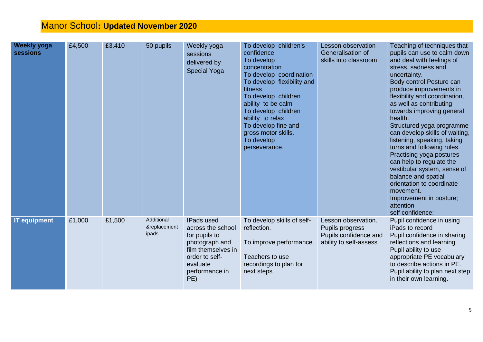| <b>Weekly yoga</b><br><b>sessions</b> | £4,500 | £3,410 | 50 pupils                           | Weekly yoga<br>sessions<br>delivered by<br><b>Special Yoga</b>                                                                                         | To develop children's<br>confidence<br>To develop<br>concentration<br>To develop coordination<br>To develop flexibility and<br>fitness<br>To develop children<br>ability to be calm<br>To develop children<br>ability to relax<br>To develop fine and<br>gross motor skills.<br>To develop<br>perseverance. | Lesson observation<br>Generalisation of<br>skills into classroom                          | Teaching of techniques that<br>pupils can use to calm down<br>and deal with feelings of<br>stress, sadness and<br>uncertainty.<br>Body control Posture can<br>produce improvements in<br>flexibility and coordination,<br>as well as contributing<br>towards improving general<br>health.<br>Structured yoga programme<br>can develop skills of waiting,<br>listening, speaking, taking<br>turns and following rules.<br>Practising yoga postures<br>can help to regulate the<br>vestibular system, sense of<br>balance and spatial<br>orientation to coordinate<br>movement.<br>Improvement in posture;<br>attention<br>self confidence; |
|---------------------------------------|--------|--------|-------------------------------------|--------------------------------------------------------------------------------------------------------------------------------------------------------|-------------------------------------------------------------------------------------------------------------------------------------------------------------------------------------------------------------------------------------------------------------------------------------------------------------|-------------------------------------------------------------------------------------------|-------------------------------------------------------------------------------------------------------------------------------------------------------------------------------------------------------------------------------------------------------------------------------------------------------------------------------------------------------------------------------------------------------------------------------------------------------------------------------------------------------------------------------------------------------------------------------------------------------------------------------------------|
| <b>IT equipment</b>                   | £1,000 | £1,500 | Additional<br>&replacement<br>ipads | <b>IPads used</b><br>across the school<br>for pupils to<br>photograph and<br>film themselves in<br>order to self-<br>evaluate<br>performance in<br>PE) | To develop skills of self-<br>reflection.<br>To improve performance.<br>Teachers to use<br>recordings to plan for<br>next steps                                                                                                                                                                             | Lesson observation.<br>Pupils progress<br>Pupils confidence and<br>ability to self-assess | Pupil confidence in using<br>iPads to record<br>Pupil confidence in sharing<br>reflections and learning.<br>Pupil ability to use<br>appropriate PE vocabulary<br>to describe actions in PE.<br>Pupil ability to plan next step<br>in their own learning.                                                                                                                                                                                                                                                                                                                                                                                  |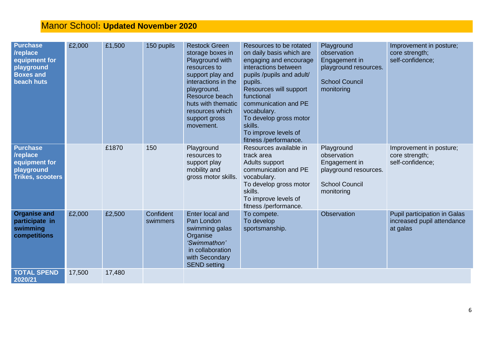| <b>Purchase</b><br>/replace<br>equipment for<br>playground<br><b>Boxes and</b><br><b>beach huts</b> | £2,000 | £1,500 | 150 pupils            | <b>Restock Green</b><br>storage boxes in<br>Playground with<br>resources to<br>support play and<br>interactions in the<br>playground.<br>Resource beach<br>huts with thematic<br>resources which<br>support gross<br>movement. | Resources to be rotated<br>on daily basis which are<br>engaging and encourage<br>interactions between<br>pupils /pupils and adult/<br>pupils.<br>Resources will support<br>functional<br>communication and PE<br>vocabulary.<br>To develop gross motor<br>skills.<br>To improve levels of<br>fitness /performance. | Playground<br>observation<br>Engagement in<br>playground resources.<br><b>School Council</b><br>monitoring | Improvement in posture;<br>core strength;<br>self-confidence;          |
|-----------------------------------------------------------------------------------------------------|--------|--------|-----------------------|--------------------------------------------------------------------------------------------------------------------------------------------------------------------------------------------------------------------------------|--------------------------------------------------------------------------------------------------------------------------------------------------------------------------------------------------------------------------------------------------------------------------------------------------------------------|------------------------------------------------------------------------------------------------------------|------------------------------------------------------------------------|
| <b>Purchase</b><br>/replace<br>equipment for<br>playground<br><b>Trikes, scooters</b>               |        | £1870  | 150                   | Playground<br>resources to<br>support play<br>mobility and<br>gross motor skills.                                                                                                                                              | Resources available in<br>track area<br>Adults support<br>communication and PE<br>vocabulary.<br>To develop gross motor<br>skills.<br>To improve levels of<br>fitness /performance.                                                                                                                                | Playground<br>observation<br>Engagement in<br>playground resources.<br><b>School Council</b><br>monitoring | Improvement in posture;<br>core strength;<br>self-confidence;          |
| <b>Organise and</b><br>participate in<br>swimming<br>competitions                                   | £2,000 | £2,500 | Confident<br>swimmers | Enter local and<br>Pan London<br>swimming galas<br>Organise<br>'Swimmathon'<br>in collaboration<br>with Secondary<br><b>SEND setting</b>                                                                                       | To compete.<br>To develop<br>sportsmanship.                                                                                                                                                                                                                                                                        | Observation                                                                                                | Pupil participation in Galas<br>increased pupil attendance<br>at galas |
| <b>TOTAL SPEND</b><br>2020/21                                                                       | 17,500 | 17,480 |                       |                                                                                                                                                                                                                                |                                                                                                                                                                                                                                                                                                                    |                                                                                                            |                                                                        |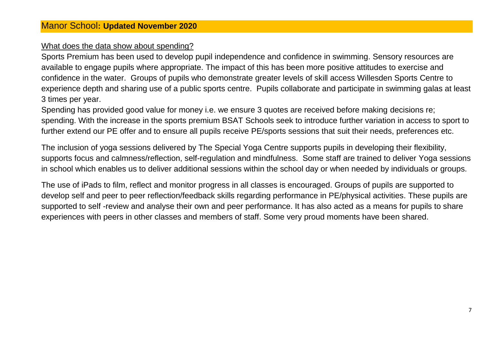#### What does the data show about spending?

Sports Premium has been used to develop pupil independence and confidence in swimming. Sensory resources are available to engage pupils where appropriate. The impact of this has been more positive attitudes to exercise and confidence in the water. Groups of pupils who demonstrate greater levels of skill access Willesden Sports Centre to experience depth and sharing use of a public sports centre. Pupils collaborate and participate in swimming galas at least 3 times per year.

Spending has provided good value for money i.e. we ensure 3 quotes are received before making decisions re; spending. With the increase in the sports premium BSAT Schools seek to introduce further variation in access to sport to further extend our PE offer and to ensure all pupils receive PE/sports sessions that suit their needs, preferences etc.

The inclusion of yoga sessions delivered by The Special Yoga Centre supports pupils in developing their flexibility, supports focus and calmness/reflection, self-regulation and mindfulness. Some staff are trained to deliver Yoga sessions in school which enables us to deliver additional sessions within the school day or when needed by individuals or groups.

The use of iPads to film, reflect and monitor progress in all classes is encouraged. Groups of pupils are supported to develop self and peer to peer reflection/feedback skills regarding performance in PE/physical activities. These pupils are supported to self -review and analyse their own and peer performance. It has also acted as a means for pupils to share experiences with peers in other classes and members of staff. Some very proud moments have been shared.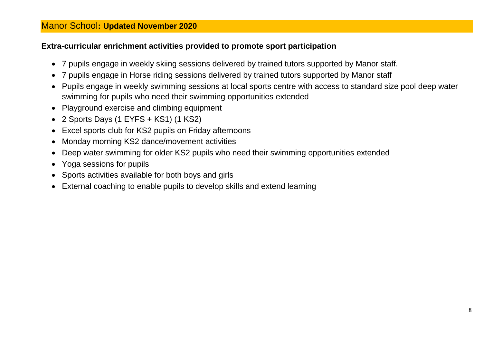## **Extra-curricular enrichment activities provided to promote sport participation**

- 7 pupils engage in weekly skiing sessions delivered by trained tutors supported by Manor staff.
- 7 pupils engage in Horse riding sessions delivered by trained tutors supported by Manor staff
- Pupils engage in weekly swimming sessions at local sports centre with access to standard size pool deep water swimming for pupils who need their swimming opportunities extended
- Playground exercise and climbing equipment
- 2 Sports Days (1 EYFS + KS1) (1 KS2)
- Excel sports club for KS2 pupils on Friday afternoons
- Monday morning KS2 dance/movement activities
- Deep water swimming for older KS2 pupils who need their swimming opportunities extended
- Yoga sessions for pupils
- Sports activities available for both boys and girls
- External coaching to enable pupils to develop skills and extend learning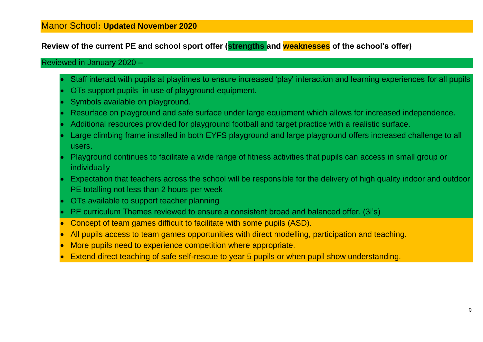## **Review of the current PE and school sport offer (strengths and weaknesses of the school's offer)**

#### Reviewed in January 2020 –

- Staff interact with pupils at playtimes to ensure increased 'play' interaction and learning experiences for all pupils
- OTs support pupils in use of playground equipment.
- Symbols available on playground.
- Resurface on playground and safe surface under large equipment which allows for increased independence.
- Additional resources provided for playground football and target practice with a realistic surface.
- Large climbing frame installed in both EYFS playground and large playground offers increased challenge to all users.
- Playground continues to facilitate a wide range of fitness activities that pupils can access in small group or individually
- Expectation that teachers across the school will be responsible for the delivery of high quality indoor and outdoor PE totalling not less than 2 hours per week
- OTs available to support teacher planning
- PE curriculum Themes reviewed to ensure a consistent broad and balanced offer. (3i's)
- Concept of team games difficult to facilitate with some pupils (ASD).
- All pupils access to team games opportunities with direct modelling, participation and teaching.
- More pupils need to experience competition where appropriate.
- Extend direct teaching of safe self-rescue to year 5 pupils or when pupil show understanding.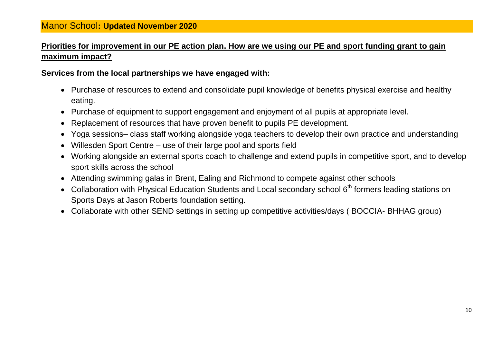## **Priorities for improvement in our PE action plan. How are we using our PE and sport funding grant to gain maximum impact?**

#### **Services from the local partnerships we have engaged with:**

- Purchase of resources to extend and consolidate pupil knowledge of benefits physical exercise and healthy eating.
- Purchase of equipment to support engagement and enjoyment of all pupils at appropriate level.
- Replacement of resources that have proven benefit to pupils PE development.
- Yoga sessions– class staff working alongside yoga teachers to develop their own practice and understanding
- Willesden Sport Centre use of their large pool and sports field
- Working alongside an external sports coach to challenge and extend pupils in competitive sport, and to develop sport skills across the school
- Attending swimming galas in Brent, Ealing and Richmond to compete against other schools
- Collaboration with Physical Education Students and Local secondary school 6<sup>th</sup> formers leading stations on Sports Days at Jason Roberts foundation setting.
- Collaborate with other SEND settings in setting up competitive activities/days ( BOCCIA- BHHAG group)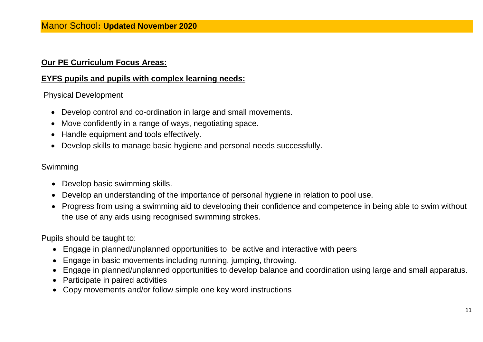## **Our PE Curriculum Focus Areas:**

## **EYFS pupils and pupils with complex learning needs:**

### Physical Development

- Develop control and co-ordination in large and small movements.
- Move confidently in a range of ways, negotiating space.
- Handle equipment and tools effectively.
- Develop skills to manage basic hygiene and personal needs successfully.

### Swimming

- Develop basic swimming skills.
- Develop an understanding of the importance of personal hygiene in relation to pool use.
- Progress from using a swimming aid to developing their confidence and competence in being able to swim without the use of any aids using recognised swimming strokes.

Pupils should be taught to:

- Engage in planned/unplanned opportunities to be active and interactive with peers
- Engage in basic movements including running, jumping, throwing.
- Engage in planned/unplanned opportunities to develop balance and coordination using large and small apparatus.
- Participate in paired activities
- Copy movements and/or follow simple one key word instructions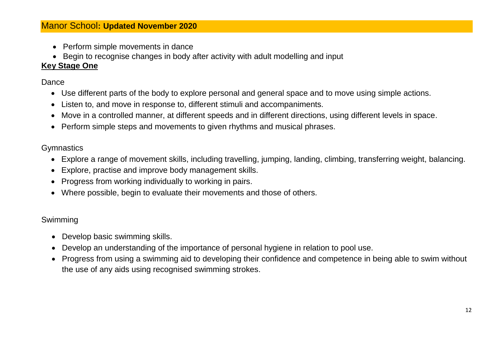- Perform simple movements in dance
- Begin to recognise changes in body after activity with adult modelling and input

### **Key Stage One**

Dance

- Use different parts of the body to explore personal and general space and to move using simple actions.
- Listen to, and move in response to, different stimuli and accompaniments.
- Move in a controlled manner, at different speeds and in different directions, using different levels in space.
- Perform simple steps and movements to given rhythms and musical phrases.

#### **Gymnastics**

- Explore a range of movement skills, including travelling, jumping, landing, climbing, transferring weight, balancing.
- Explore, practise and improve body management skills.
- Progress from working individually to working in pairs.
- Where possible, begin to evaluate their movements and those of others.

#### Swimming

- Develop basic swimming skills.
- Develop an understanding of the importance of personal hygiene in relation to pool use.
- Progress from using a swimming aid to developing their confidence and competence in being able to swim without the use of any aids using recognised swimming strokes.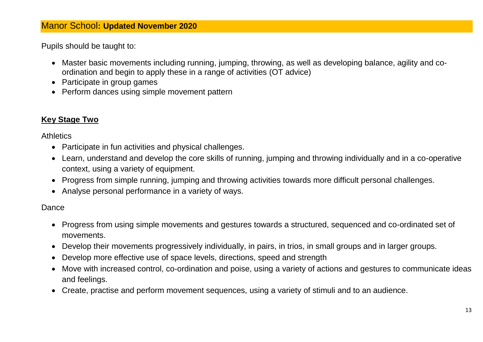Pupils should be taught to:

- Master basic movements including running, jumping, throwing, as well as developing balance, agility and coordination and begin to apply these in a range of activities (OT advice)
- Participate in group games
- Perform dances using simple movement pattern

## **Key Stage Two**

**Athletics** 

- Participate in fun activities and physical challenges.
- Learn, understand and develop the core skills of running, jumping and throwing individually and in a co-operative context, using a variety of equipment.
- Progress from simple running, jumping and throwing activities towards more difficult personal challenges.
- Analyse personal performance in a variety of ways.

#### Dance

- Progress from using simple movements and gestures towards a structured, sequenced and co-ordinated set of movements.
- Develop their movements progressively individually, in pairs, in trios, in small groups and in larger groups.
- Develop more effective use of space levels, directions, speed and strength
- Move with increased control, co-ordination and poise, using a variety of actions and gestures to communicate ideas and feelings.
- Create, practise and perform movement sequences, using a variety of stimuli and to an audience.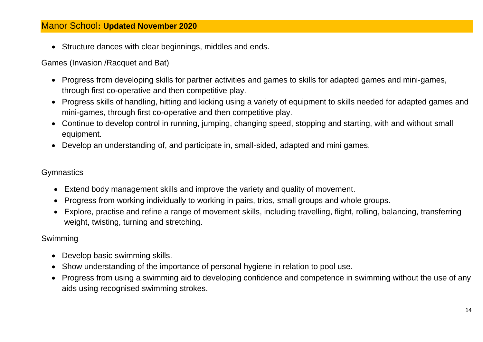Structure dances with clear beginnings, middles and ends.

Games (Invasion /Racquet and Bat)

- Progress from developing skills for partner activities and games to skills for adapted games and mini-games, through first co-operative and then competitive play.
- Progress skills of handling, hitting and kicking using a variety of equipment to skills needed for adapted games and mini-games, through first co-operative and then competitive play.
- Continue to develop control in running, jumping, changing speed, stopping and starting, with and without small equipment.
- Develop an understanding of, and participate in, small-sided, adapted and mini games.

#### **Gymnastics**

- Extend body management skills and improve the variety and quality of movement.
- Progress from working individually to working in pairs, trios, small groups and whole groups.
- Explore, practise and refine a range of movement skills, including travelling, flight, rolling, balancing, transferring weight, twisting, turning and stretching.

## Swimming

- Develop basic swimming skills.
- Show understanding of the importance of personal hygiene in relation to pool use.
- Progress from using a swimming aid to developing confidence and competence in swimming without the use of any aids using recognised swimming strokes.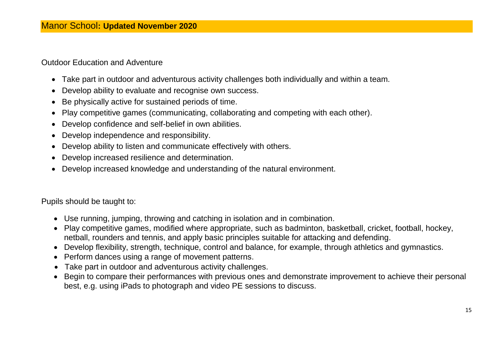#### Outdoor Education and Adventure

- Take part in outdoor and adventurous activity challenges both individually and within a team.
- Develop ability to evaluate and recognise own success.
- Be physically active for sustained periods of time.
- Play competitive games (communicating, collaborating and competing with each other).
- Develop confidence and self-belief in own abilities.
- Develop independence and responsibility.
- Develop ability to listen and communicate effectively with others.
- Develop increased resilience and determination.
- Develop increased knowledge and understanding of the natural environment.

Pupils should be taught to:

- Use running, jumping, throwing and catching in isolation and in combination.
- Play competitive games, modified where appropriate, such as badminton, basketball, cricket, football, hockey, netball, rounders and tennis, and apply basic principles suitable for attacking and defending.
- Develop flexibility, strength, technique, control and balance, for example, through athletics and gymnastics.
- Perform dances using a range of movement patterns.
- Take part in outdoor and adventurous activity challenges.
- Begin to compare their performances with previous ones and demonstrate improvement to achieve their personal best, e.g. using iPads to photograph and video PE sessions to discuss.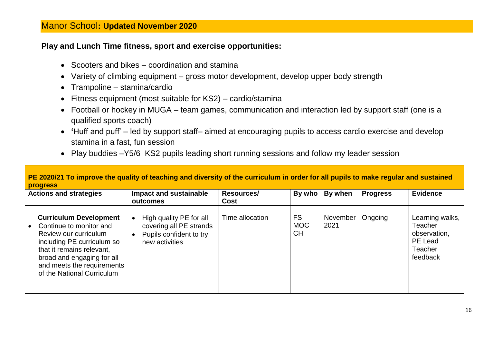#### **Play and Lunch Time fitness, sport and exercise opportunities:**

- Scooters and bikes coordination and stamina
- Variety of climbing equipment gross motor development, develop upper body strength
- Trampoline stamina/cardio
- Fitness equipment (most suitable for KS2) cardio/stamina
- Football or hockey in MUGA team games, communication and interaction led by support staff (one is a qualified sports coach)
- **'**Huff and puff' led by support staff– aimed at encouraging pupils to access cardio exercise and develop stamina in a fast, fun session
- Play buddies –Y5/6 KS2 pupils leading short running sessions and follow my leader session

|                               | PE 2020/21 To improve the quality of teaching and diversity of the curriculum in order for all pupils to make regular and sustained<br><b>progress</b>                                                                                 |                                                                                                 |                    |                                      |                  |                 |                                                                              |  |  |
|-------------------------------|----------------------------------------------------------------------------------------------------------------------------------------------------------------------------------------------------------------------------------------|-------------------------------------------------------------------------------------------------|--------------------|--------------------------------------|------------------|-----------------|------------------------------------------------------------------------------|--|--|
| <b>Actions and strategies</b> |                                                                                                                                                                                                                                        | Impact and sustainable<br>outcomes                                                              | Resources/<br>Cost | By who                               | By when          | <b>Progress</b> | <b>Evidence</b>                                                              |  |  |
|                               | <b>Curriculum Development</b><br>Continue to monitor and<br>Review our curriculum<br>including PE curriculum so<br>that it remains relevant,<br>broad and engaging for all<br>and meets the requirements<br>of the National Curriculum | High quality PE for all<br>covering all PE strands<br>Pupils confident to try<br>new activities | Time allocation    | <b>FS</b><br><b>MOC</b><br><b>CH</b> | November<br>2021 | Ongoing         | Learning walks,<br>Teacher<br>observation,<br>PE Lead<br>Teacher<br>feedback |  |  |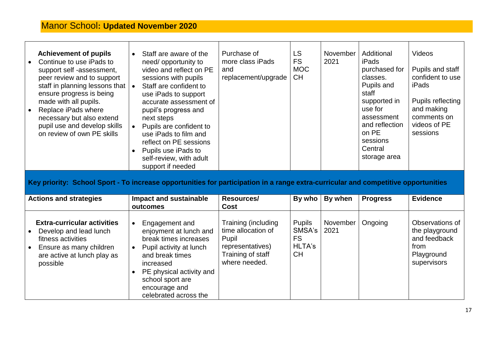| <b>Achievement of pupils</b><br>Continue to use iPads to<br>support self -assessment,<br>peer review and to support<br>staff in planning lessons that<br>ensure progress is being<br>made with all pupils.<br>Replace iPads where<br>necessary but also extend<br>pupil use and develop skills<br>on review of own PE skills | Staff are aware of the<br>$\bullet$<br>need/ opportunity to<br>video and reflect on PE<br>sessions with pupils<br>Staff are confident to<br>$\bullet$<br>use iPads to support<br>accurate assessment of<br>pupil's progress and<br>next steps<br>Pupils are confident to<br>$\bullet$<br>use iPads to film and<br>reflect on PE sessions<br>Pupils use iPads to<br>self-review, with adult<br>support if needed | Purchase of<br>more class iPads<br>and<br>replacement/upgrade                                                | <b>LS</b><br><b>FS</b><br><b>MOC</b><br><b>CH</b>                  | November<br>2021 | Additional<br><b>iPads</b><br>purchased for<br>classes.<br>Pupils and<br>staff<br>supported in<br>use for<br>assessment<br>and reflection<br>on PE<br>sessions<br>Central<br>storage area | Videos<br>Pupils and staff<br>confident to use<br>iPads<br>Pupils reflecting<br>and making<br>comments on<br>videos of PE<br>sessions |
|------------------------------------------------------------------------------------------------------------------------------------------------------------------------------------------------------------------------------------------------------------------------------------------------------------------------------|-----------------------------------------------------------------------------------------------------------------------------------------------------------------------------------------------------------------------------------------------------------------------------------------------------------------------------------------------------------------------------------------------------------------|--------------------------------------------------------------------------------------------------------------|--------------------------------------------------------------------|------------------|-------------------------------------------------------------------------------------------------------------------------------------------------------------------------------------------|---------------------------------------------------------------------------------------------------------------------------------------|
| Key priority: School Sport - To increase opportunities for participation in a range extra-curricular and competitive opportunities                                                                                                                                                                                           |                                                                                                                                                                                                                                                                                                                                                                                                                 |                                                                                                              |                                                                    |                  |                                                                                                                                                                                           |                                                                                                                                       |
| <b>Actions and strategies</b>                                                                                                                                                                                                                                                                                                | <b>Impact and sustainable</b><br>outcomes                                                                                                                                                                                                                                                                                                                                                                       | <b>Resources/</b><br>Cost                                                                                    | By who                                                             | By when          | <b>Progress</b>                                                                                                                                                                           | <b>Evidence</b>                                                                                                                       |
| <b>Extra-curricular activities</b><br>Develop and lead lunch<br>fitness activities<br>Ensure as many children<br>are active at lunch play as<br>possible                                                                                                                                                                     | Engagement and<br>$\bullet$<br>enjoyment at lunch and<br>break times increases<br>Pupil activity at lunch<br>$\bullet$<br>and break times<br>increased<br>PE physical activity and<br>$\bullet$<br>school sport are<br>encourage and<br>celebrated across the                                                                                                                                                   | Training (including<br>time allocation of<br>Pupil<br>representatives)<br>Training of staff<br>where needed. | <b>Pupils</b><br>SMSA's<br><b>FS</b><br><b>HLTA's</b><br><b>CH</b> | November<br>2021 | Ongoing                                                                                                                                                                                   | Observations of<br>the playground<br>and feedback<br>from<br>Playground<br>supervisors                                                |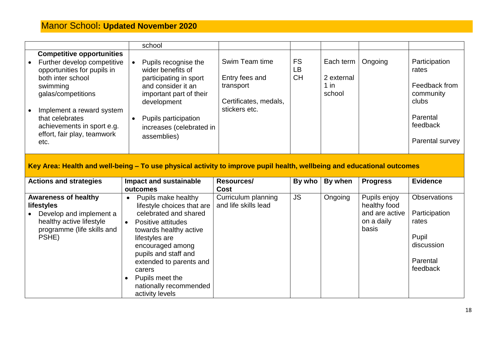|           |                                                                                                                       | school                                                              |                                                     |                              |                         |         |                                         |
|-----------|-----------------------------------------------------------------------------------------------------------------------|---------------------------------------------------------------------|-----------------------------------------------------|------------------------------|-------------------------|---------|-----------------------------------------|
|           | <b>Competitive opportunities</b><br>• Further develop competitive<br>opportunities for pupils in<br>both inter school | Pupils recognise the<br>wider benefits of<br>participating in sport | Swim Team time<br>Entry fees and                    | <b>FS</b><br>LB<br><b>CH</b> | Each term<br>2 external | Ongoing | Participation<br>rates                  |
| $\bullet$ | swimming<br>galas/competitions<br>Implement a reward system                                                           | and consider it an<br>important part of their<br>development        | transport<br>Certificates, medals,<br>stickers etc. |                              | $1$ in<br>school        |         | Feedback from<br>community<br>clubs     |
|           | that celebrates<br>achievements in sport e.g.<br>effort, fair play, teamwork<br>etc.                                  | Pupils participation<br>increases (celebrated in<br>assemblies)     |                                                     |                              |                         |         | Parental<br>feedback<br>Parental survey |

## **Key Area: Health and well-being – To use physical activity to improve pupil health, wellbeing and educational outcomes**

| <b>Actions and strategies</b>                                                                                                                               | Impact and sustainable<br>outcomes                                                                                                                                                                                                                                                                                      | Resources/<br>Cost                          | By who    | By when | <b>Progress</b>                                                       | <b>Evidence</b>                                                                              |
|-------------------------------------------------------------------------------------------------------------------------------------------------------------|-------------------------------------------------------------------------------------------------------------------------------------------------------------------------------------------------------------------------------------------------------------------------------------------------------------------------|---------------------------------------------|-----------|---------|-----------------------------------------------------------------------|----------------------------------------------------------------------------------------------|
| <b>Awareness of healthy</b><br><b>lifestyles</b><br>Develop and implement a<br>$\bullet$<br>healthy active lifestyle<br>programme (life skills and<br>PSHE) | Pupils make healthy<br>$\bullet$<br>lifestyle choices that are<br>celebrated and shared<br>Positive attitudes<br>$\bullet$<br>towards healthy active<br>lifestyles are<br>encouraged among<br>pupils and staff and<br>extended to parents and<br>carers<br>Pupils meet the<br>nationally recommended<br>activity levels | Curriculum planning<br>and life skills lead | <b>JS</b> | Ongoing | Pupils enjoy<br>healthy food<br>and are active<br>on a daily<br>basis | <b>Observations</b><br>Participation<br>rates<br>Pupil<br>discussion<br>Parental<br>feedback |